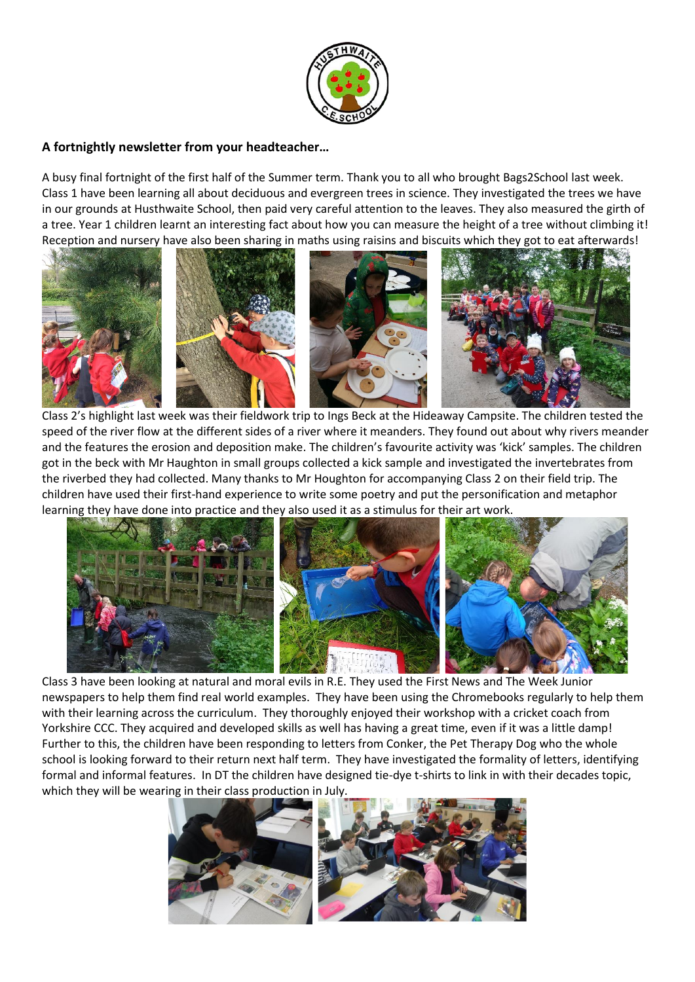

## **A fortnightly newsletter from your headteacher…**

A busy final fortnight of the first half of the Summer term. Thank you to all who brought Bags2School last week. Class 1 have been learning all about deciduous and evergreen trees in science. They investigated the trees we have in our grounds at Husthwaite School, then paid very careful attention to the leaves. They also measured the girth of a tree. Year 1 children learnt an interesting fact about how you can measure the height of a tree without climbing it! Reception and nursery have also been sharing in maths using raisins and biscuits which they got to eat afterwards!



Class 2's highlight last week was their fieldwork trip to Ings Beck at the Hideaway Campsite. The children tested the speed of the river flow at the different sides of a river where it meanders. They found out about why rivers meander and the features the erosion and deposition make. The children's favourite activity was 'kick' samples. The children got in the beck with Mr Haughton in small groups collected a kick sample and investigated the invertebrates from the riverbed they had collected. Many thanks to Mr Houghton for accompanying Class 2 on their field trip. The children have used their first-hand experience to write some poetry and put the personification and metaphor learning they have done into practice and they also used it as a stimulus for their art work.



Class 3 have been looking at natural and moral evils in R.E. They used the First News and The Week Junior newspapers to help them find real world examples. They have been using the Chromebooks regularly to help them with their learning across the curriculum. They thoroughly enjoyed their workshop with a cricket coach from Yorkshire CCC. They acquired and developed skills as well has having a great time, even if it was a little damp! Further to this, the children have been responding to letters from Conker, the Pet Therapy Dog who the whole school is looking forward to their return next half term. They have investigated the formality of letters, identifying formal and informal features. In DT the children have designed tie-dye t-shirts to link in with their decades topic, which they will be wearing in their class production in July.



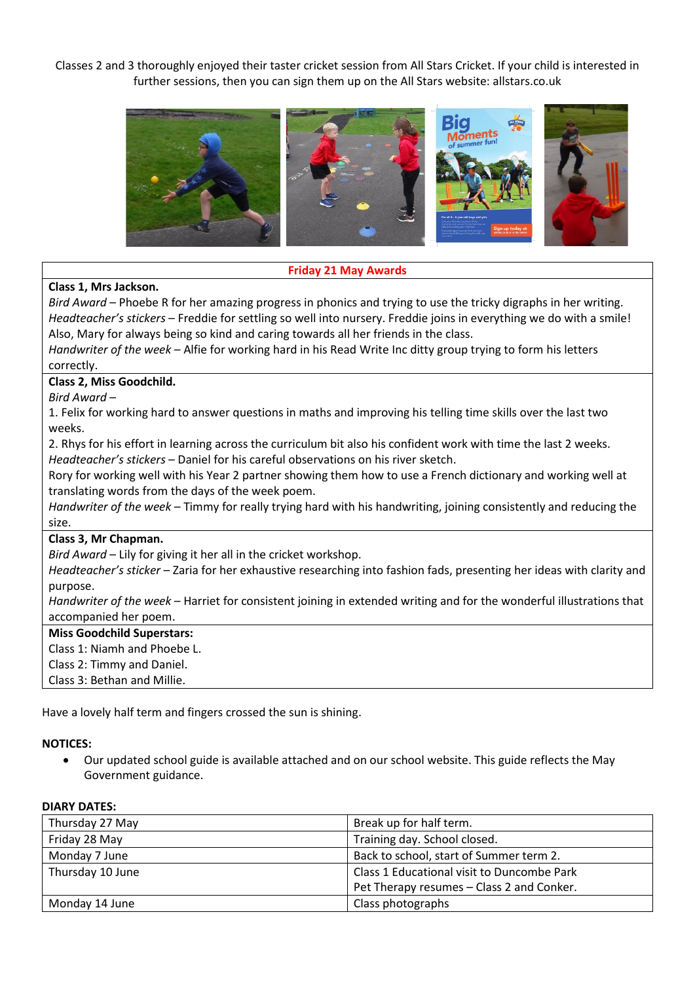Classes 2 and 3 thoroughly enjoyed their taster cricket session from All Stars Cricket. If your child is interested in further sessions, then you can sign them up on the All Stars website: allstars.co.uk



## **Friday 21 May Awards**

## **Class 1, Mrs Jackson.**

*Bird Award* – Phoebe R for her amazing progress in phonics and trying to use the tricky digraphs in her writing. *Headteacher's stickers* – Freddie for settling so well into nursery. Freddie joins in everything we do with a smile! Also, Mary for always being so kind and caring towards all her friends in the class.

*Handwriter of the week* – Alfie for working hard in his Read Write Inc ditty group trying to form his letters correctly.

## **Class 2, Miss Goodchild.**

*Bird Award* –

1. Felix for working hard to answer questions in maths and improving his telling time skills over the last two weeks.

2. Rhys for his effort in learning across the curriculum bit also his confident work with time the last 2 weeks. *Headteacher's stickers* – Daniel for his careful observations on his river sketch.

Rory for working well with his Year 2 partner showing them how to use a French dictionary and working well at translating words from the days of the week poem.

*Handwriter of the week* – Timmy for really trying hard with his handwriting, joining consistently and reducing the size.

#### **Class 3, Mr Chapman.**

*Bird Award* – Lily for giving it her all in the cricket workshop.

*Headteacher's sticker* – Zaria for her exhaustive researching into fashion fads, presenting her ideas with clarity and purpose.

*Handwriter of the week* – Harriet for consistent joining in extended writing and for the wonderful illustrations that accompanied her poem.

#### **Miss Goodchild Superstars:**

Class 1: Niamh and Phoebe L.

Class 2: Timmy and Daniel.

Class 3: Bethan and Millie.

Have a lovely half term and fingers crossed the sun is shining.

# **NOTICES:**

• Our updated school guide is available attached and on our school website. This guide reflects the May Government guidance.

# **DIARY DATES:**

| Thursday 27 May  | Break up for half term.                    |
|------------------|--------------------------------------------|
| Friday 28 May    | Training day. School closed.               |
| Monday 7 June    | Back to school, start of Summer term 2.    |
| Thursday 10 June | Class 1 Educational visit to Duncombe Park |
|                  | Pet Therapy resumes - Class 2 and Conker.  |
| Monday 14 June   | Class photographs                          |